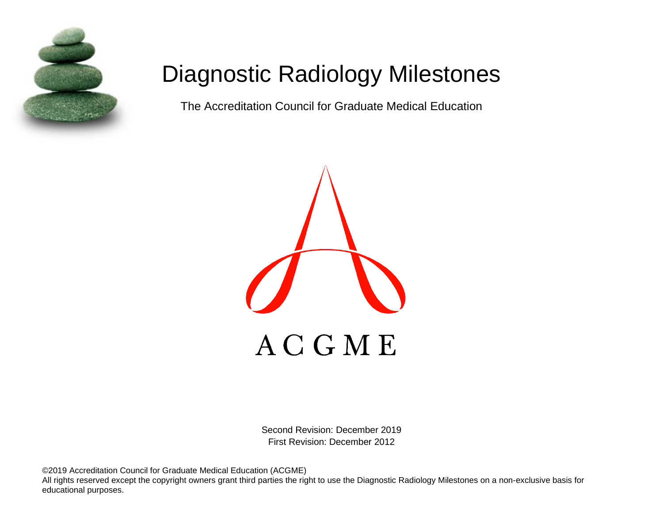

# Diagnostic Radiology Milestones

The Accreditation Council for Graduate Medical Education



Second Revision: December 2019 First Revision: December 2012

©2019 Accreditation Council for Graduate Medical Education (ACGME)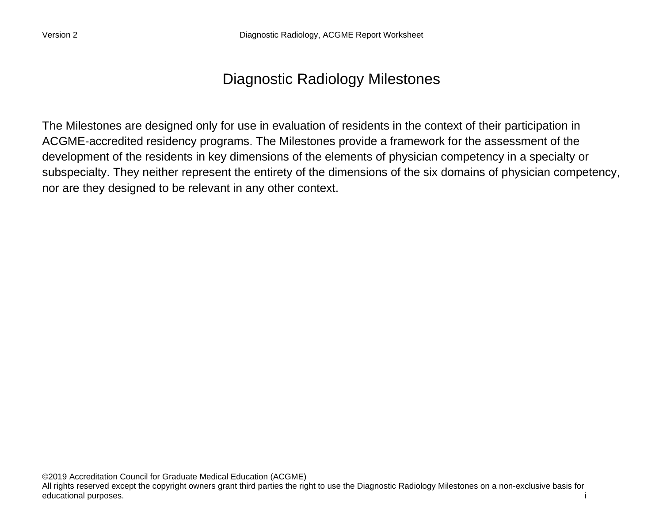# Diagnostic Radiology Milestones

The Milestones are designed only for use in evaluation of residents in the context of their participation in ACGME-accredited residency programs. The Milestones provide a framework for the assessment of the development of the residents in key dimensions of the elements of physician competency in a specialty or subspecialty. They neither represent the entirety of the dimensions of the six domains of physician competency, nor are they designed to be relevant in any other context.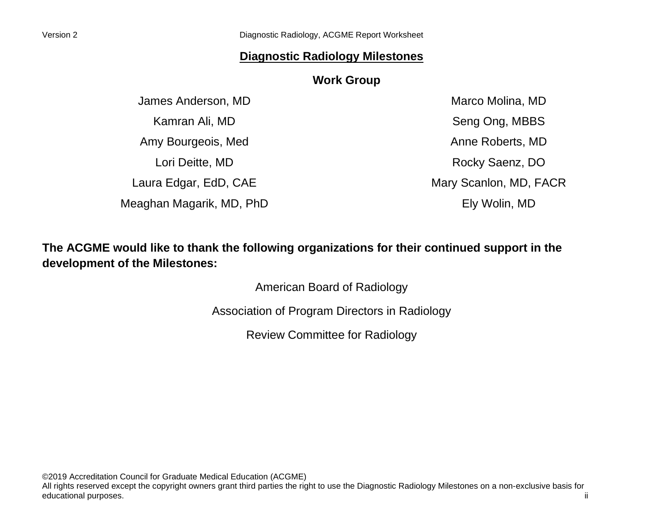#### **Diagnostic Radiology Milestones**

#### **Work Group**

James Anderson, MD Kamran Ali, MD Amy Bourgeois, Med Lori Deitte, MD Laura Edgar, EdD, CAE Meaghan Magarik, MD, PhD

Marco Molina, MD Seng Ong, MBBS Anne Roberts, MD Rocky Saenz, DO Mary Scanlon, MD, FACR Ely Wolin, MD

## **The ACGME would like to thank the following organizations for their continued support in the development of the Milestones:**

American Board of Radiology

Association of Program Directors in Radiology

Review Committee for Radiology

©2019 Accreditation Council for Graduate Medical Education (ACGME) All rights reserved except the copyright owners grant third parties the right to use the Diagnostic Radiology Milestones on a non-exclusive basis for educational purposes. ii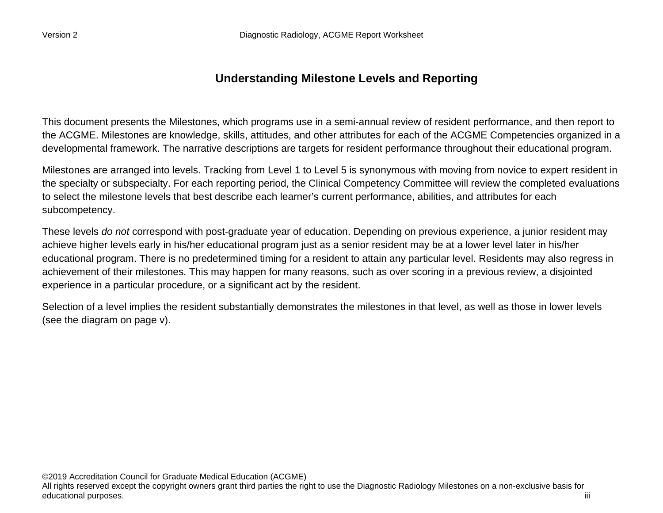### **Understanding Milestone Levels and Reporting**

This document presents the Milestones, which programs use in a semi-annual review of resident performance, and then report to the ACGME. Milestones are knowledge, skills, attitudes, and other attributes for each of the ACGME Competencies organized in a developmental framework. The narrative descriptions are targets for resident performance throughout their educational program.

Milestones are arranged into levels. Tracking from Level 1 to Level 5 is synonymous with moving from novice to expert resident in the specialty or subspecialty. For each reporting period, the Clinical Competency Committee will review the completed evaluations to select the milestone levels that best describe each learner's current performance, abilities, and attributes for each subcompetency.

These levels *do not* correspond with post-graduate year of education. Depending on previous experience, a junior resident may achieve higher levels early in his/her educational program just as a senior resident may be at a lower level later in his/her educational program. There is no predetermined timing for a resident to attain any particular level. Residents may also regress in achievement of their milestones. This may happen for many reasons, such as over scoring in a previous review, a disjointed experience in a particular procedure, or a significant act by the resident.

Selection of a level implies the resident substantially demonstrates the milestones in that level, as well as those in lower levels (see the diagram on page v).

©2019 Accreditation Council for Graduate Medical Education (ACGME) All rights reserved except the copyright owners grant third parties the right to use the Diagnostic Radiology Milestones on a non-exclusive basis for educational purposes. iiii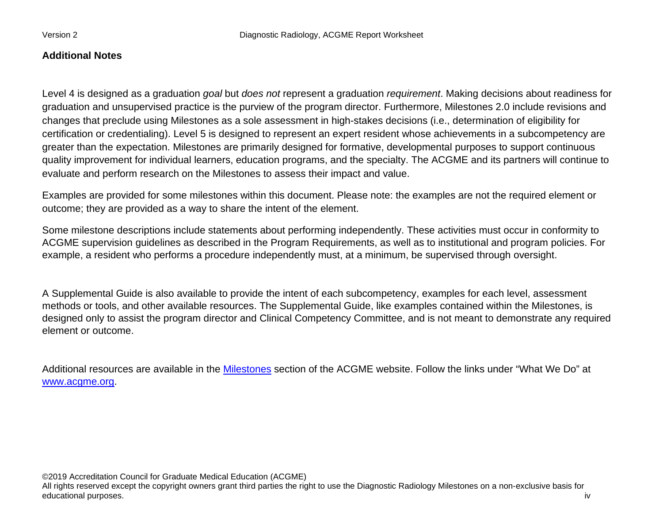#### **Additional Notes**

Level 4 is designed as a graduation *goal* but *does not* represent a graduation *requirement*. Making decisions about readiness for graduation and unsupervised practice is the purview of the program director. Furthermore, Milestones 2.0 include revisions and changes that preclude using Milestones as a sole assessment in high-stakes decisions (i.e., determination of eligibility for certification or credentialing). Level 5 is designed to represent an expert resident whose achievements in a subcompetency are greater than the expectation. Milestones are primarily designed for formative, developmental purposes to support continuous quality improvement for individual learners, education programs, and the specialty. The ACGME and its partners will continue to evaluate and perform research on the Milestones to assess their impact and value.

Examples are provided for some milestones within this document. Please note: the examples are not the required element or outcome; they are provided as a way to share the intent of the element.

Some milestone descriptions include statements about performing independently. These activities must occur in conformity to ACGME supervision guidelines as described in the Program Requirements, as well as to institutional and program policies. For example, a resident who performs a procedure independently must, at a minimum, be supervised through oversight.

A Supplemental Guide is also available to provide the intent of each subcompetency, examples for each level, assessment methods or tools, and other available resources. The Supplemental Guide, like examples contained within the Milestones, is designed only to assist the program director and Clinical Competency Committee, and is not meant to demonstrate any required element or outcome.

Additional resources are available in the [Milestones](http://www.acgme.org/What-We-Do/Accreditation/Milestones/Overview) section of the ACGME website. Follow the links under "What We Do" at [www.acgme.org.](http://www.acgme.org/)

©2019 Accreditation Council for Graduate Medical Education (ACGME)

All rights reserved except the copyright owners grant third parties the right to use the Diagnostic Radiology Milestones on a non-exclusive basis for educational purposes. iv in the set of the set of the set of the set of the set of the set of the set of the set of the set of the set of the set of the set of the set of the set of the set of the set of the set of the set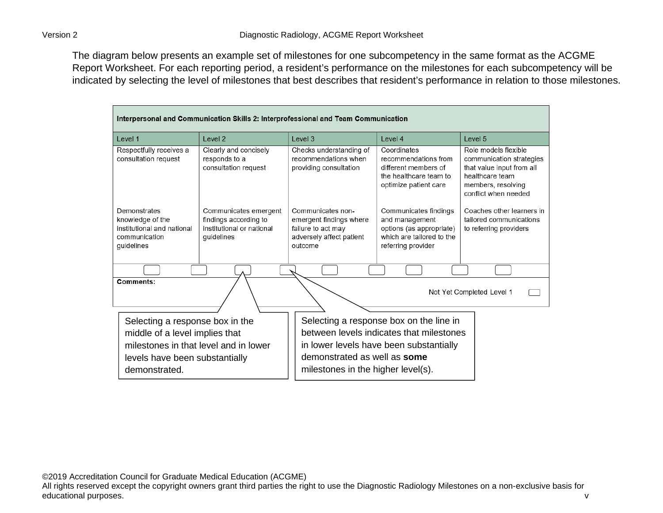The diagram below presents an example set of milestones for one subcompetency in the same format as the ACGME Report Worksheet. For each reporting period, a resident's performance on the milestones for each subcompetency will be indicated by selecting the level of milestones that best describes that resident's performance in relation to those milestones.

| Interpersonal and Communication Skills 2: Interprofessional and Team Communication                                                                            |                                                                                           |                                                                                                           |                                                                                                                                |                                                                                                                                                |
|---------------------------------------------------------------------------------------------------------------------------------------------------------------|-------------------------------------------------------------------------------------------|-----------------------------------------------------------------------------------------------------------|--------------------------------------------------------------------------------------------------------------------------------|------------------------------------------------------------------------------------------------------------------------------------------------|
| Level 1                                                                                                                                                       | Level <sub>2</sub>                                                                        | Level 3                                                                                                   | Level 4                                                                                                                        | Level <sub>5</sub>                                                                                                                             |
| Respectfully receives a<br>consultation request                                                                                                               | Clearly and concisely<br>responds to a<br>consultation request                            | Checks understanding of<br>recommendations when<br>providing consultation                                 | Coordinates<br>recommendations from<br>different members of<br>the healthcare team to<br>optimize patient care                 | Role models flexible<br>communication strategies<br>that value input from all<br>healthcare team<br>members, resolving<br>conflict when needed |
| Demonstrates<br>knowledge of the<br>institutional and national<br>communication<br>guidelines                                                                 | Communicates emergent<br>findings according to<br>institutional or national<br>guidelines | Communicates non-<br>emergent findings where<br>failure to act may<br>adversely affect patient<br>outcome | Communicates findings<br>and management<br>options (as appropriate)<br>which are tailored to the<br>referring provider         | Coaches other learners in<br>tailored communications<br>to referring providers                                                                 |
|                                                                                                                                                               |                                                                                           |                                                                                                           |                                                                                                                                |                                                                                                                                                |
| Comments:<br>Not Yet Completed Level 1                                                                                                                        |                                                                                           |                                                                                                           |                                                                                                                                |                                                                                                                                                |
| Selecting a response box in the<br>middle of a level implies that<br>milestones in that level and in lower<br>levels have been substantially<br>demonstrated. |                                                                                           | demonstrated as well as some<br>milestones in the higher level(s).                                        | Selecting a response box on the line in<br>between levels indicates that milestones<br>in lower levels have been substantially |                                                                                                                                                |

©2019 Accreditation Council for Graduate Medical Education (ACGME)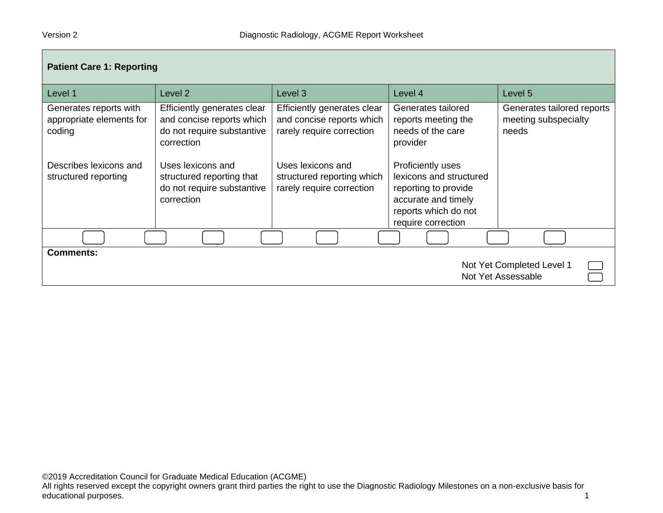| <b>Patient Care 1: Reporting</b>                                    |                                                                                                      |                                                                                       |                                                                                                                                           |                                                             |
|---------------------------------------------------------------------|------------------------------------------------------------------------------------------------------|---------------------------------------------------------------------------------------|-------------------------------------------------------------------------------------------------------------------------------------------|-------------------------------------------------------------|
| Level 1                                                             | Level <sub>2</sub>                                                                                   | Level 3                                                                               | Level 4                                                                                                                                   | Level 5                                                     |
| Generates reports with<br>appropriate elements for<br>coding        | Efficiently generates clear<br>and concise reports which<br>do not require substantive<br>correction | Efficiently generates clear<br>and concise reports which<br>rarely require correction | Generates tailored<br>reports meeting the<br>needs of the care<br>provider                                                                | Generates tailored reports<br>meeting subspecialty<br>needs |
| Describes lexicons and<br>structured reporting                      | Uses lexicons and<br>structured reporting that<br>do not require substantive<br>correction           | Uses lexicons and<br>structured reporting which<br>rarely require correction          | Proficiently uses<br>lexicons and structured<br>reporting to provide<br>accurate and timely<br>reports which do not<br>require correction |                                                             |
|                                                                     |                                                                                                      |                                                                                       |                                                                                                                                           |                                                             |
| <b>Comments:</b><br>Not Yet Completed Level 1<br>Not Yet Assessable |                                                                                                      |                                                                                       |                                                                                                                                           |                                                             |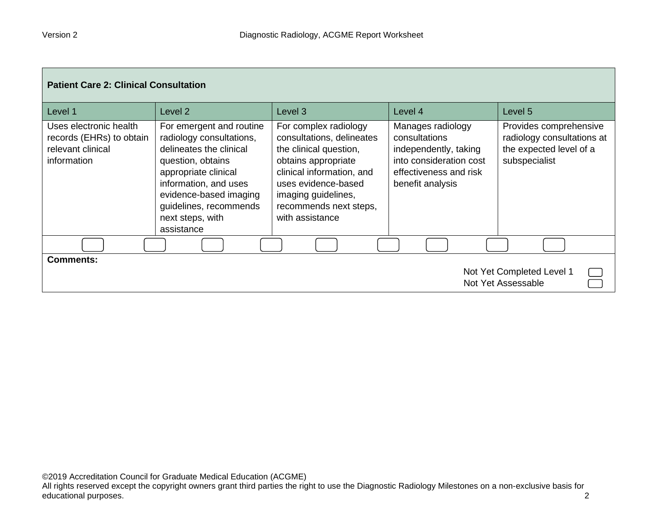| <b>Patient Care 2: Clinical Consultation</b>                                           |                                                                                                                                                                                                                                             |                                                                                                                                                                                                                             |                                                                                                                                      |                                                                                                  |  |
|----------------------------------------------------------------------------------------|---------------------------------------------------------------------------------------------------------------------------------------------------------------------------------------------------------------------------------------------|-----------------------------------------------------------------------------------------------------------------------------------------------------------------------------------------------------------------------------|--------------------------------------------------------------------------------------------------------------------------------------|--------------------------------------------------------------------------------------------------|--|
| Level 1                                                                                | Level 2                                                                                                                                                                                                                                     | Level 3                                                                                                                                                                                                                     | Level 4                                                                                                                              | Level 5                                                                                          |  |
| Uses electronic health<br>records (EHRs) to obtain<br>relevant clinical<br>information | For emergent and routine<br>radiology consultations,<br>delineates the clinical<br>question, obtains<br>appropriate clinical<br>information, and uses<br>evidence-based imaging<br>guidelines, recommends<br>next steps, with<br>assistance | For complex radiology<br>consultations, delineates<br>the clinical question,<br>obtains appropriate<br>clinical information, and<br>uses evidence-based<br>imaging guidelines,<br>recommends next steps,<br>with assistance | Manages radiology<br>consultations<br>independently, taking<br>into consideration cost<br>effectiveness and risk<br>benefit analysis | Provides comprehensive<br>radiology consultations at<br>the expected level of a<br>subspecialist |  |
|                                                                                        |                                                                                                                                                                                                                                             |                                                                                                                                                                                                                             |                                                                                                                                      |                                                                                                  |  |
| <b>Comments:</b><br>Not Yet Completed Level 1<br>Not Yet Assessable                    |                                                                                                                                                                                                                                             |                                                                                                                                                                                                                             |                                                                                                                                      |                                                                                                  |  |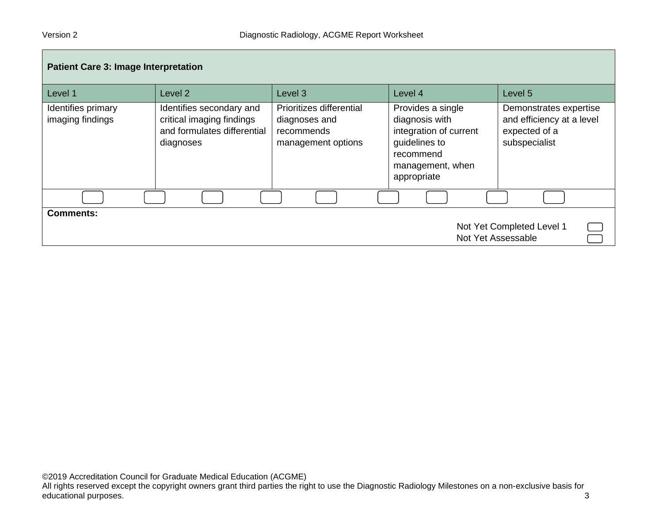| <b>Patient Care 3: Image Interpretation</b>                         |                                                                                                   |                                                                               |                                                                                                                                |                                                                                       |
|---------------------------------------------------------------------|---------------------------------------------------------------------------------------------------|-------------------------------------------------------------------------------|--------------------------------------------------------------------------------------------------------------------------------|---------------------------------------------------------------------------------------|
| Level 1                                                             | Level 2                                                                                           | Level <sub>3</sub>                                                            | Level 4                                                                                                                        | Level 5                                                                               |
| Identifies primary<br>imaging findings                              | Identifies secondary and<br>critical imaging findings<br>and formulates differential<br>diagnoses | Prioritizes differential<br>diagnoses and<br>recommends<br>management options | Provides a single<br>diagnosis with<br>integration of current<br>guidelines to<br>recommend<br>management, when<br>appropriate | Demonstrates expertise<br>and efficiency at a level<br>expected of a<br>subspecialist |
|                                                                     |                                                                                                   |                                                                               |                                                                                                                                |                                                                                       |
| <b>Comments:</b><br>Not Yet Completed Level 1<br>Not Yet Assessable |                                                                                                   |                                                                               |                                                                                                                                |                                                                                       |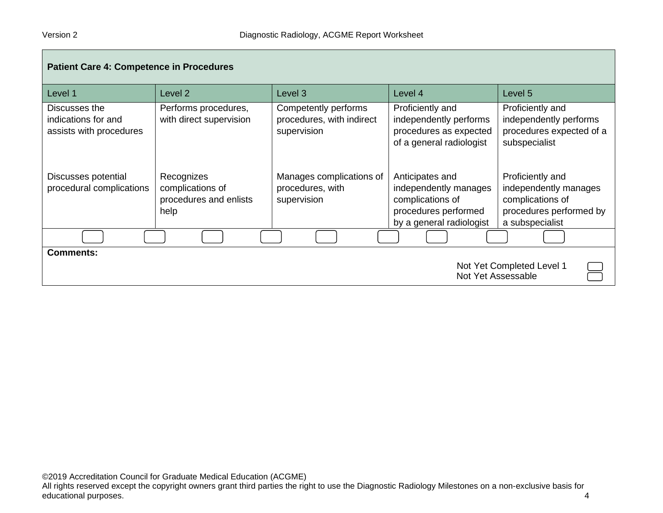| <b>Patient Care 4: Competence in Procedures</b>                 |                                                                  |                                                                  |                                                                                                                  |                                                                                                             |
|-----------------------------------------------------------------|------------------------------------------------------------------|------------------------------------------------------------------|------------------------------------------------------------------------------------------------------------------|-------------------------------------------------------------------------------------------------------------|
| Level 1                                                         | Level 2                                                          | Level <sub>3</sub>                                               | Level 4                                                                                                          | Level 5                                                                                                     |
| Discusses the<br>indications for and<br>assists with procedures | Performs procedures,<br>with direct supervision                  | Competently performs<br>procedures, with indirect<br>supervision | Proficiently and<br>independently performs<br>procedures as expected<br>of a general radiologist                 | Proficiently and<br>independently performs<br>procedures expected of a<br>subspecialist                     |
| Discusses potential<br>procedural complications                 | Recognizes<br>complications of<br>procedures and enlists<br>help | Manages complications of<br>procedures, with<br>supervision      | Anticipates and<br>independently manages<br>complications of<br>procedures performed<br>by a general radiologist | Proficiently and<br>independently manages<br>complications of<br>procedures performed by<br>a subspecialist |
|                                                                 |                                                                  |                                                                  |                                                                                                                  |                                                                                                             |
| <b>Comments:</b>                                                |                                                                  |                                                                  |                                                                                                                  | Not Yet Completed Level 1                                                                                   |
|                                                                 |                                                                  |                                                                  |                                                                                                                  | Not Yet Assessable                                                                                          |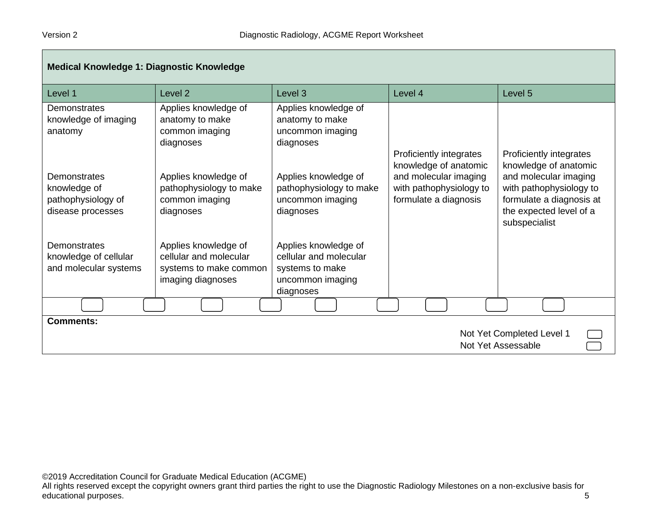| <b>Medical Knowledge 1: Diagnostic Knowledge</b>                        |                                                                                               |                                                                                                    |                                                                           |                                                                                                                          |
|-------------------------------------------------------------------------|-----------------------------------------------------------------------------------------------|----------------------------------------------------------------------------------------------------|---------------------------------------------------------------------------|--------------------------------------------------------------------------------------------------------------------------|
| Level 1                                                                 | Level <sub>2</sub>                                                                            | Level <sub>3</sub>                                                                                 | Level 4                                                                   | Level 5                                                                                                                  |
| Demonstrates<br>knowledge of imaging<br>anatomy                         | Applies knowledge of<br>anatomy to make<br>common imaging<br>diagnoses                        | Applies knowledge of<br>anatomy to make<br>uncommon imaging<br>diagnoses                           | Proficiently integrates<br>knowledge of anatomic                          | Proficiently integrates<br>knowledge of anatomic                                                                         |
| Demonstrates<br>knowledge of<br>pathophysiology of<br>disease processes | Applies knowledge of<br>pathophysiology to make<br>common imaging<br>diagnoses                | Applies knowledge of<br>pathophysiology to make<br>uncommon imaging<br>diagnoses                   | and molecular imaging<br>with pathophysiology to<br>formulate a diagnosis | and molecular imaging<br>with pathophysiology to<br>formulate a diagnosis at<br>the expected level of a<br>subspecialist |
| Demonstrates<br>knowledge of cellular<br>and molecular systems          | Applies knowledge of<br>cellular and molecular<br>systems to make common<br>imaging diagnoses | Applies knowledge of<br>cellular and molecular<br>systems to make<br>uncommon imaging<br>diagnoses |                                                                           |                                                                                                                          |
|                                                                         |                                                                                               |                                                                                                    |                                                                           |                                                                                                                          |
| <b>Comments:</b>                                                        |                                                                                               |                                                                                                    |                                                                           | Not Yet Completed Level 1<br>Not Yet Assessable                                                                          |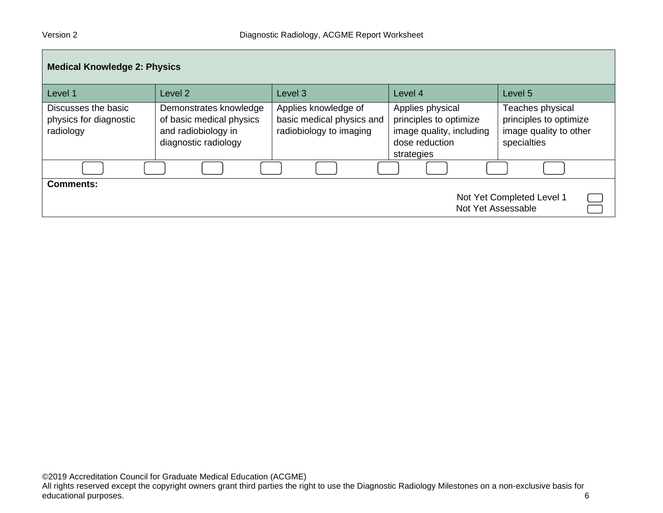| <b>Medical Knowledge 2: Physics</b>                                 |                                                                                                   |                                                                              |                                                                                                        |                                                                                     |  |
|---------------------------------------------------------------------|---------------------------------------------------------------------------------------------------|------------------------------------------------------------------------------|--------------------------------------------------------------------------------------------------------|-------------------------------------------------------------------------------------|--|
| Level 1                                                             | Level 2                                                                                           | Level 3                                                                      | Level 4                                                                                                | Level 5                                                                             |  |
| Discusses the basic<br>physics for diagnostic<br>radiology          | Demonstrates knowledge<br>of basic medical physics<br>and radiobiology in<br>diagnostic radiology | Applies knowledge of<br>basic medical physics and<br>radiobiology to imaging | Applies physical<br>principles to optimize<br>image quality, including<br>dose reduction<br>strategies | Teaches physical<br>principles to optimize<br>image quality to other<br>specialties |  |
|                                                                     |                                                                                                   |                                                                              |                                                                                                        |                                                                                     |  |
| <b>Comments:</b><br>Not Yet Completed Level 1<br>Not Yet Assessable |                                                                                                   |                                                                              |                                                                                                        |                                                                                     |  |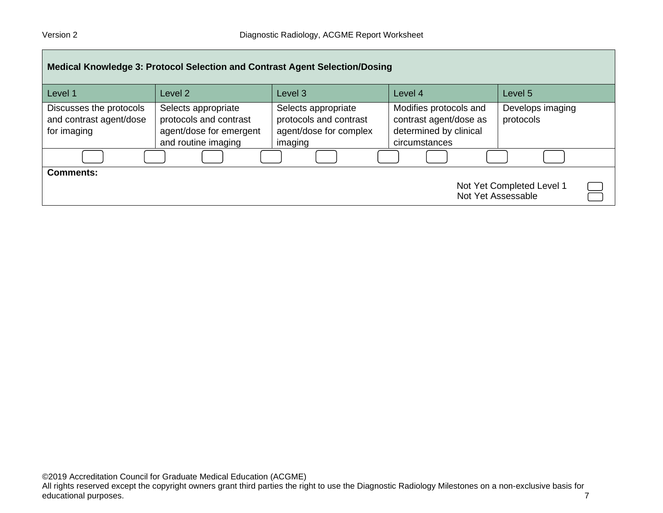| <b>Medical Knowledge 3: Protocol Selection and Contrast Agent Selection/Dosing</b> |                                                                                                 |                                                                                    |                                                                                             |                               |  |
|------------------------------------------------------------------------------------|-------------------------------------------------------------------------------------------------|------------------------------------------------------------------------------------|---------------------------------------------------------------------------------------------|-------------------------------|--|
| Level 1                                                                            | Level 2                                                                                         | Level <sub>3</sub>                                                                 | Level 4                                                                                     | Level 5                       |  |
| Discusses the protocols<br>and contrast agent/dose<br>for imaging                  | Selects appropriate<br>protocols and contrast<br>agent/dose for emergent<br>and routine imaging | Selects appropriate<br>protocols and contrast<br>agent/dose for complex<br>imaging | Modifies protocols and<br>contrast agent/dose as<br>determined by clinical<br>circumstances | Develops imaging<br>protocols |  |
|                                                                                    |                                                                                                 |                                                                                    |                                                                                             |                               |  |
| <b>Comments:</b><br>Not Yet Completed Level 1<br>Not Yet Assessable                |                                                                                                 |                                                                                    |                                                                                             |                               |  |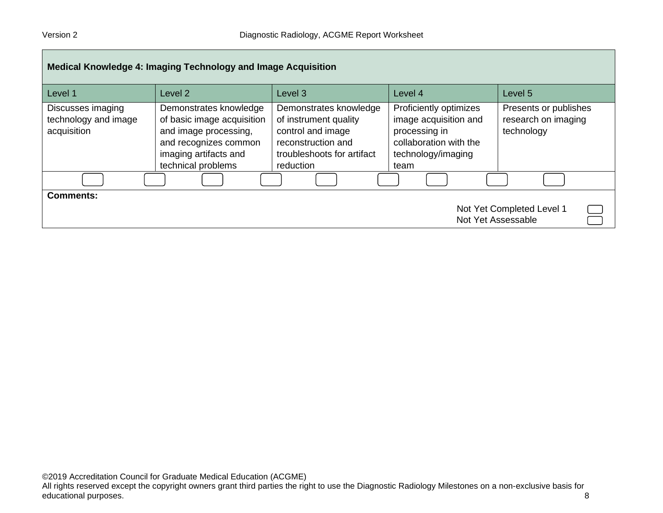| Medical Knowledge 4: Imaging Technology and Image Acquisition       |                                                                                                                                                       |                                                                                                                                       |                                                                                                                          |                                                            |  |
|---------------------------------------------------------------------|-------------------------------------------------------------------------------------------------------------------------------------------------------|---------------------------------------------------------------------------------------------------------------------------------------|--------------------------------------------------------------------------------------------------------------------------|------------------------------------------------------------|--|
| Level 1                                                             | Level 2                                                                                                                                               | Level 3                                                                                                                               | Level 4                                                                                                                  | Level 5                                                    |  |
| Discusses imaging<br>technology and image<br>acquisition            | Demonstrates knowledge<br>of basic image acquisition<br>and image processing,<br>and recognizes common<br>imaging artifacts and<br>technical problems | Demonstrates knowledge<br>of instrument quality<br>control and image<br>reconstruction and<br>troubleshoots for artifact<br>reduction | Proficiently optimizes<br>image acquisition and<br>processing in<br>collaboration with the<br>technology/imaging<br>team | Presents or publishes<br>research on imaging<br>technology |  |
|                                                                     |                                                                                                                                                       |                                                                                                                                       |                                                                                                                          |                                                            |  |
| <b>Comments:</b><br>Not Yet Completed Level 1<br>Not Yet Assessable |                                                                                                                                                       |                                                                                                                                       |                                                                                                                          |                                                            |  |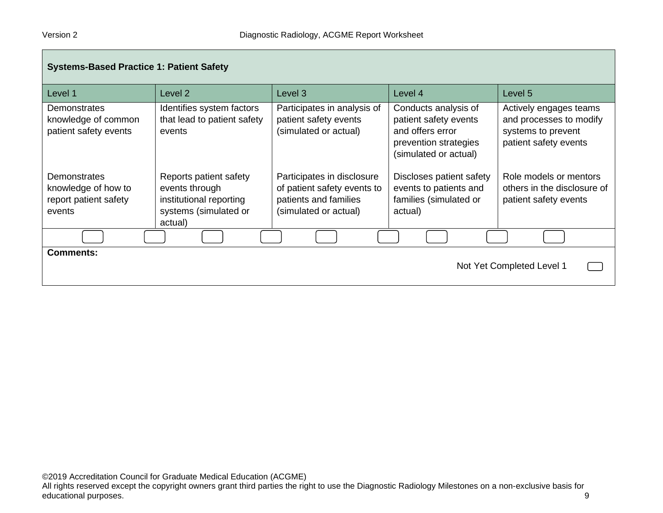| <b>Systems-Based Practice 1: Patient Safety</b>                        |                                                                                                         |                                                                                                             |                                                                                                                     |                                                                                                  |
|------------------------------------------------------------------------|---------------------------------------------------------------------------------------------------------|-------------------------------------------------------------------------------------------------------------|---------------------------------------------------------------------------------------------------------------------|--------------------------------------------------------------------------------------------------|
| Level 1                                                                | Level 2                                                                                                 | Level <sub>3</sub>                                                                                          | Level 4                                                                                                             | Level 5                                                                                          |
| Demonstrates<br>knowledge of common<br>patient safety events           | Identifies system factors<br>that lead to patient safety<br>events                                      | Participates in analysis of<br>patient safety events<br>(simulated or actual)                               | Conducts analysis of<br>patient safety events<br>and offers error<br>prevention strategies<br>(simulated or actual) | Actively engages teams<br>and processes to modify<br>systems to prevent<br>patient safety events |
| Demonstrates<br>knowledge of how to<br>report patient safety<br>events | Reports patient safety<br>events through<br>institutional reporting<br>systems (simulated or<br>actual) | Participates in disclosure<br>of patient safety events to<br>patients and families<br>(simulated or actual) | Discloses patient safety<br>events to patients and<br>families (simulated or<br>actual)                             | Role models or mentors<br>others in the disclosure of<br>patient safety events                   |
|                                                                        |                                                                                                         |                                                                                                             |                                                                                                                     |                                                                                                  |
| <b>Comments:</b><br>Not Yet Completed Level 1                          |                                                                                                         |                                                                                                             |                                                                                                                     |                                                                                                  |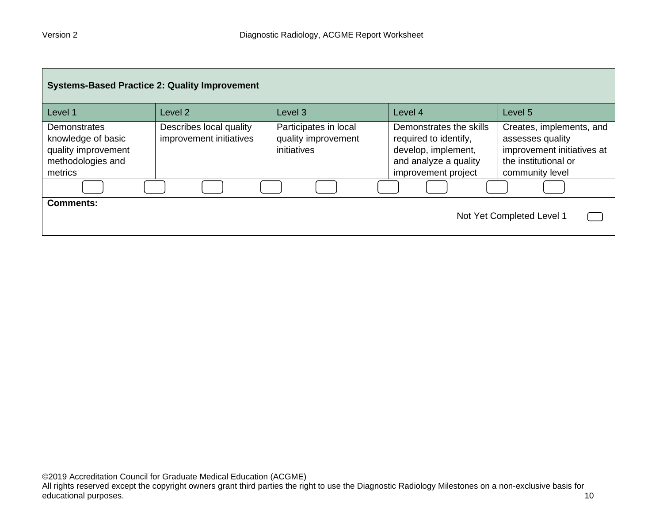| <b>Systems-Based Practice 2: Quality Improvement</b>                                             |                                                    |                                                             |                                                                                                                         |                                                                                                                       |  |
|--------------------------------------------------------------------------------------------------|----------------------------------------------------|-------------------------------------------------------------|-------------------------------------------------------------------------------------------------------------------------|-----------------------------------------------------------------------------------------------------------------------|--|
| Level 1                                                                                          | Level <sub>2</sub>                                 | Level 3                                                     | Level 4                                                                                                                 | Level 5                                                                                                               |  |
| <b>Demonstrates</b><br>knowledge of basic<br>quality improvement<br>methodologies and<br>metrics | Describes local quality<br>improvement initiatives | Participates in local<br>quality improvement<br>initiatives | Demonstrates the skills<br>required to identify,<br>develop, implement,<br>and analyze a quality<br>improvement project | Creates, implements, and<br>assesses quality<br>improvement initiatives at<br>the institutional or<br>community level |  |
|                                                                                                  |                                                    |                                                             |                                                                                                                         |                                                                                                                       |  |
| <b>Comments:</b>                                                                                 |                                                    |                                                             |                                                                                                                         | Not Yet Completed Level 1                                                                                             |  |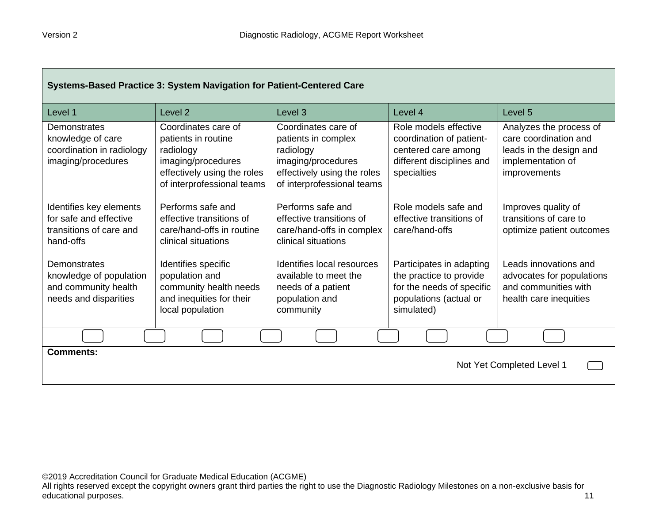| Systems-Based Practice 3: System Navigation for Patient-Centered Care                     |                                                                                                                                            |                                                                                                                                            |                                                                                                                          |                                                                                                                         |
|-------------------------------------------------------------------------------------------|--------------------------------------------------------------------------------------------------------------------------------------------|--------------------------------------------------------------------------------------------------------------------------------------------|--------------------------------------------------------------------------------------------------------------------------|-------------------------------------------------------------------------------------------------------------------------|
| Level 1                                                                                   | Level <sub>2</sub>                                                                                                                         | Level <sub>3</sub>                                                                                                                         | Level 4                                                                                                                  | Level <sub>5</sub>                                                                                                      |
| Demonstrates<br>knowledge of care<br>coordination in radiology<br>imaging/procedures      | Coordinates care of<br>patients in routine<br>radiology<br>imaging/procedures<br>effectively using the roles<br>of interprofessional teams | Coordinates care of<br>patients in complex<br>radiology<br>imaging/procedures<br>effectively using the roles<br>of interprofessional teams | Role models effective<br>coordination of patient-<br>centered care among<br>different disciplines and<br>specialties     | Analyzes the process of<br>care coordination and<br>leads in the design and<br>implementation of<br><i>improvements</i> |
| Identifies key elements<br>for safe and effective<br>transitions of care and<br>hand-offs | Performs safe and<br>effective transitions of<br>care/hand-offs in routine<br>clinical situations                                          | Performs safe and<br>effective transitions of<br>care/hand-offs in complex<br>clinical situations                                          | Role models safe and<br>effective transitions of<br>care/hand-offs                                                       | Improves quality of<br>transitions of care to<br>optimize patient outcomes                                              |
| Demonstrates<br>knowledge of population<br>and community health<br>needs and disparities  | Identifies specific<br>population and<br>community health needs<br>and inequities for their<br>local population                            | Identifies local resources<br>available to meet the<br>needs of a patient<br>population and<br>community                                   | Participates in adapting<br>the practice to provide<br>for the needs of specific<br>populations (actual or<br>simulated) | Leads innovations and<br>advocates for populations<br>and communities with<br>health care inequities                    |
|                                                                                           |                                                                                                                                            |                                                                                                                                            |                                                                                                                          |                                                                                                                         |
| <b>Comments:</b><br>Not Yet Completed Level 1                                             |                                                                                                                                            |                                                                                                                                            |                                                                                                                          |                                                                                                                         |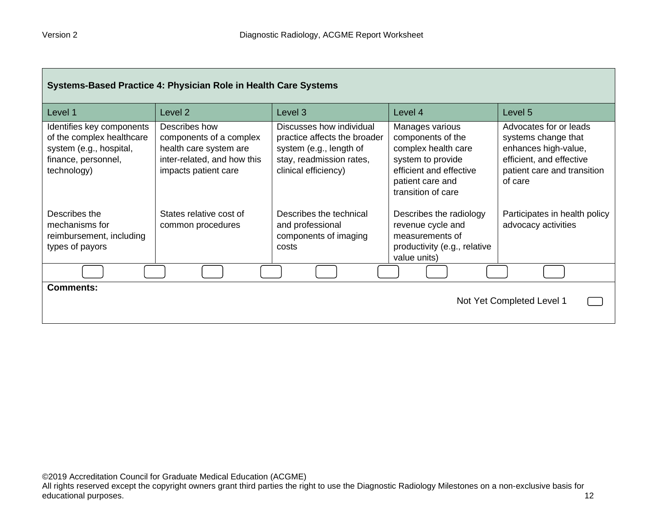| Systems-Based Practice 4: Physician Role in Health Care Systems                                                         |                                                                                                                           |                                                                                                                                         |                                                                                                                                                       |                                                                                                                                             |
|-------------------------------------------------------------------------------------------------------------------------|---------------------------------------------------------------------------------------------------------------------------|-----------------------------------------------------------------------------------------------------------------------------------------|-------------------------------------------------------------------------------------------------------------------------------------------------------|---------------------------------------------------------------------------------------------------------------------------------------------|
| Level 1                                                                                                                 | Level 2                                                                                                                   | Level 3                                                                                                                                 | Level 4                                                                                                                                               | Level 5                                                                                                                                     |
| Identifies key components<br>of the complex healthcare<br>system (e.g., hospital,<br>finance, personnel,<br>technology) | Describes how<br>components of a complex<br>health care system are<br>inter-related, and how this<br>impacts patient care | Discusses how individual<br>practice affects the broader<br>system (e.g., length of<br>stay, readmission rates,<br>clinical efficiency) | Manages various<br>components of the<br>complex health care<br>system to provide<br>efficient and effective<br>patient care and<br>transition of care | Advocates for or leads<br>systems change that<br>enhances high-value,<br>efficient, and effective<br>patient care and transition<br>of care |
| Describes the<br>mechanisms for<br>reimbursement, including<br>types of payors                                          | States relative cost of<br>common procedures                                                                              | Describes the technical<br>and professional<br>components of imaging<br>costs                                                           | Describes the radiology<br>revenue cycle and<br>measurements of<br>productivity (e.g., relative<br>value units)                                       | Participates in health policy<br>advocacy activities                                                                                        |
|                                                                                                                         |                                                                                                                           |                                                                                                                                         |                                                                                                                                                       |                                                                                                                                             |
| <b>Comments:</b><br>Not Yet Completed Level 1                                                                           |                                                                                                                           |                                                                                                                                         |                                                                                                                                                       |                                                                                                                                             |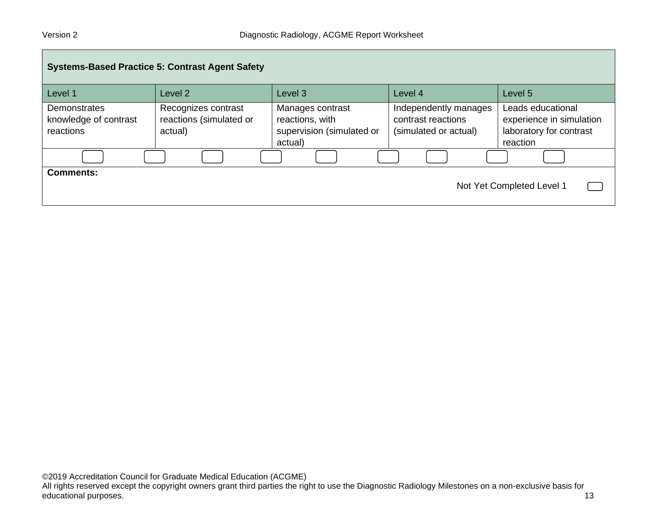| <b>Systems-Based Practice 5: Contrast Agent Safety</b> |                                                           |                                                                             |                                                                      |                                                                                      |  |
|--------------------------------------------------------|-----------------------------------------------------------|-----------------------------------------------------------------------------|----------------------------------------------------------------------|--------------------------------------------------------------------------------------|--|
| Level 1                                                | Level 2                                                   | Level 3                                                                     | Level 4                                                              | Level 5                                                                              |  |
| Demonstrates<br>knowledge of contrast<br>reactions     | Recognizes contrast<br>reactions (simulated or<br>actual) | Manages contrast<br>reactions, with<br>supervision (simulated or<br>actual) | Independently manages<br>contrast reactions<br>(simulated or actual) | Leads educational<br>experience in simulation<br>laboratory for contrast<br>reaction |  |
|                                                        |                                                           |                                                                             |                                                                      |                                                                                      |  |
| <b>Comments:</b><br>Not Yet Completed Level 1          |                                                           |                                                                             |                                                                      |                                                                                      |  |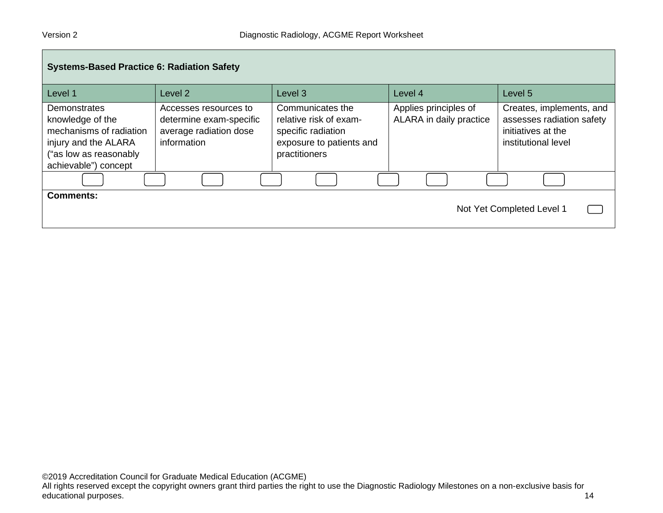| <b>Systems-Based Practice 6: Radiation Safety</b>                                                                                     |                                                                                           |                                                                                                               |                                                  |                                                                                                    |  |
|---------------------------------------------------------------------------------------------------------------------------------------|-------------------------------------------------------------------------------------------|---------------------------------------------------------------------------------------------------------------|--------------------------------------------------|----------------------------------------------------------------------------------------------------|--|
| Level 1                                                                                                                               | Level 2                                                                                   | Level 3                                                                                                       | Level 4                                          | Level 5                                                                                            |  |
| Demonstrates<br>knowledge of the<br>mechanisms of radiation<br>injury and the ALARA<br>("as low as reasonably<br>achievable") concept | Accesses resources to<br>determine exam-specific<br>average radiation dose<br>information | Communicates the<br>relative risk of exam-<br>specific radiation<br>exposure to patients and<br>practitioners | Applies principles of<br>ALARA in daily practice | Creates, implements, and<br>assesses radiation safety<br>initiatives at the<br>institutional level |  |
|                                                                                                                                       |                                                                                           |                                                                                                               |                                                  |                                                                                                    |  |
| Comments:<br>Not Yet Completed Level 1                                                                                                |                                                                                           |                                                                                                               |                                                  |                                                                                                    |  |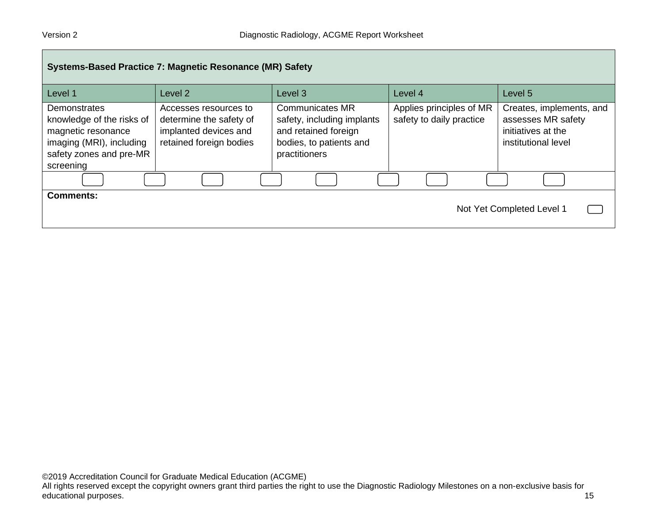| Systems-Based Practice 7: Magnetic Resonance (MR) Safety                                                                            |                                                                                                      |                                                                                                                          |                                                      |                                                                                             |  |
|-------------------------------------------------------------------------------------------------------------------------------------|------------------------------------------------------------------------------------------------------|--------------------------------------------------------------------------------------------------------------------------|------------------------------------------------------|---------------------------------------------------------------------------------------------|--|
| Level 1                                                                                                                             | Level 2                                                                                              | Level <sub>3</sub>                                                                                                       | Level 4                                              | Level 5                                                                                     |  |
| Demonstrates<br>knowledge of the risks of<br>magnetic resonance<br>imaging (MRI), including<br>safety zones and pre-MR<br>screening | Accesses resources to<br>determine the safety of<br>implanted devices and<br>retained foreign bodies | <b>Communicates MR</b><br>safety, including implants<br>and retained foreign<br>bodies, to patients and<br>practitioners | Applies principles of MR<br>safety to daily practice | Creates, implements, and<br>assesses MR safety<br>initiatives at the<br>institutional level |  |
|                                                                                                                                     |                                                                                                      |                                                                                                                          |                                                      |                                                                                             |  |
| <b>Comments:</b><br>Not Yet Completed Level 1                                                                                       |                                                                                                      |                                                                                                                          |                                                      |                                                                                             |  |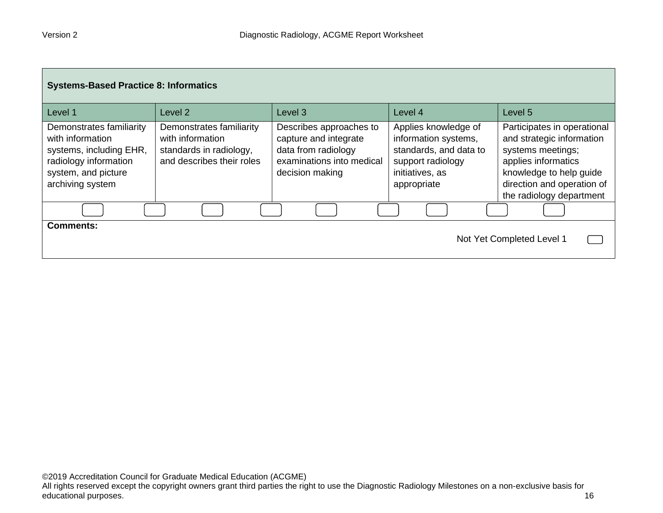| <b>Systems-Based Practice 8: Informatics</b>                                                                                                |                                                                                                      |                                                                                                                         |                                                                                                                               |                                                                                                                                                                                           |  |
|---------------------------------------------------------------------------------------------------------------------------------------------|------------------------------------------------------------------------------------------------------|-------------------------------------------------------------------------------------------------------------------------|-------------------------------------------------------------------------------------------------------------------------------|-------------------------------------------------------------------------------------------------------------------------------------------------------------------------------------------|--|
| Level 1                                                                                                                                     | Level <sub>2</sub>                                                                                   | Level <sub>3</sub>                                                                                                      | Level 4                                                                                                                       | Level <sub>5</sub>                                                                                                                                                                        |  |
| Demonstrates familiarity<br>with information<br>systems, including EHR,<br>radiology information<br>system, and picture<br>archiving system | Demonstrates familiarity<br>with information<br>standards in radiology,<br>and describes their roles | Describes approaches to<br>capture and integrate<br>data from radiology<br>examinations into medical<br>decision making | Applies knowledge of<br>information systems,<br>standards, and data to<br>support radiology<br>initiatives, as<br>appropriate | Participates in operational<br>and strategic information<br>systems meetings;<br>applies informatics<br>knowledge to help guide<br>direction and operation of<br>the radiology department |  |
|                                                                                                                                             |                                                                                                      |                                                                                                                         |                                                                                                                               |                                                                                                                                                                                           |  |
| <b>Comments:</b><br>Not Yet Completed Level 1                                                                                               |                                                                                                      |                                                                                                                         |                                                                                                                               |                                                                                                                                                                                           |  |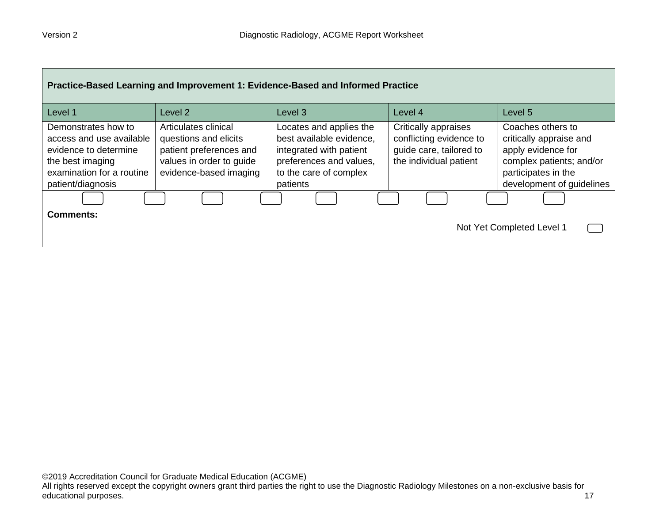| Practice-Based Learning and Improvement 1: Evidence-Based and Informed Practice                                                                |                                                                                                                                |                                                                                                                                                 |                                                                                                      |                                                                                                                                                    |  |
|------------------------------------------------------------------------------------------------------------------------------------------------|--------------------------------------------------------------------------------------------------------------------------------|-------------------------------------------------------------------------------------------------------------------------------------------------|------------------------------------------------------------------------------------------------------|----------------------------------------------------------------------------------------------------------------------------------------------------|--|
| Level 1                                                                                                                                        | Level <sub>2</sub>                                                                                                             | Level 3                                                                                                                                         | Level 4                                                                                              | Level 5                                                                                                                                            |  |
| Demonstrates how to<br>access and use available<br>evidence to determine<br>the best imaging<br>examination for a routine<br>patient/diagnosis | Articulates clinical<br>questions and elicits<br>patient preferences and<br>values in order to guide<br>evidence-based imaging | Locates and applies the<br>best available evidence,<br>integrated with patient<br>preferences and values,<br>to the care of complex<br>patients | Critically appraises<br>conflicting evidence to<br>guide care, tailored to<br>the individual patient | Coaches others to<br>critically appraise and<br>apply evidence for<br>complex patients; and/or<br>participates in the<br>development of guidelines |  |
|                                                                                                                                                |                                                                                                                                |                                                                                                                                                 |                                                                                                      |                                                                                                                                                    |  |
| <b>Comments:</b><br>Not Yet Completed Level 1                                                                                                  |                                                                                                                                |                                                                                                                                                 |                                                                                                      |                                                                                                                                                    |  |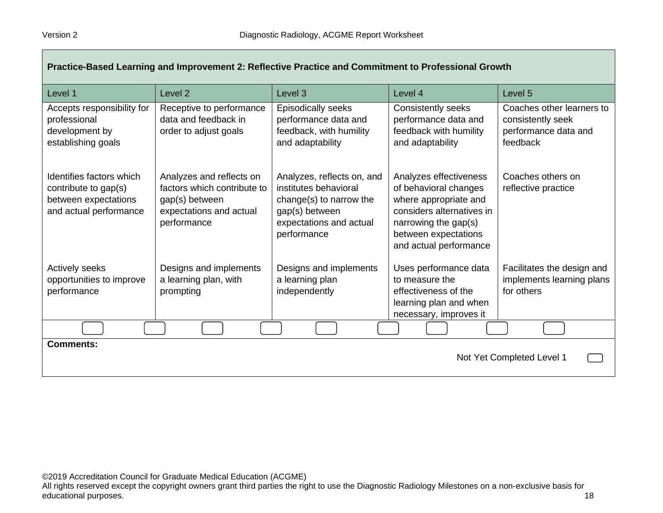| Practice-Based Learning and Improvement 2: Reflective Practice and Commitment to Professional Growth |                                                                                                                     |                                                                                                                                            |                                                                                                                                                                                 |                                                                                    |
|------------------------------------------------------------------------------------------------------|---------------------------------------------------------------------------------------------------------------------|--------------------------------------------------------------------------------------------------------------------------------------------|---------------------------------------------------------------------------------------------------------------------------------------------------------------------------------|------------------------------------------------------------------------------------|
| Level 1                                                                                              | Level <sub>2</sub>                                                                                                  | Level 3                                                                                                                                    | Level 4                                                                                                                                                                         | Level 5                                                                            |
| Accepts responsibility for<br>professional<br>development by<br>establishing goals                   | Receptive to performance<br>data and feedback in<br>order to adjust goals                                           | Episodically seeks<br>performance data and<br>feedback, with humility<br>and adaptability                                                  | Consistently seeks<br>performance data and<br>feedback with humility<br>and adaptability                                                                                        | Coaches other learners to<br>consistently seek<br>performance data and<br>feedback |
| Identifies factors which<br>contribute to gap(s)<br>between expectations<br>and actual performance   | Analyzes and reflects on<br>factors which contribute to<br>gap(s) between<br>expectations and actual<br>performance | Analyzes, reflects on, and<br>institutes behavioral<br>change(s) to narrow the<br>gap(s) between<br>expectations and actual<br>performance | Analyzes effectiveness<br>of behavioral changes<br>where appropriate and<br>considers alternatives in<br>narrowing the gap(s)<br>between expectations<br>and actual performance | Coaches others on<br>reflective practice                                           |
| Actively seeks<br>opportunities to improve<br>performance                                            | Designs and implements<br>a learning plan, with<br>prompting                                                        | Designs and implements<br>a learning plan<br>independently                                                                                 | Uses performance data<br>to measure the<br>effectiveness of the<br>learning plan and when<br>necessary, improves it                                                             | Facilitates the design and<br>implements learning plans<br>for others              |
|                                                                                                      |                                                                                                                     |                                                                                                                                            |                                                                                                                                                                                 |                                                                                    |
| <b>Comments:</b><br>Not Yet Completed Level 1                                                        |                                                                                                                     |                                                                                                                                            |                                                                                                                                                                                 |                                                                                    |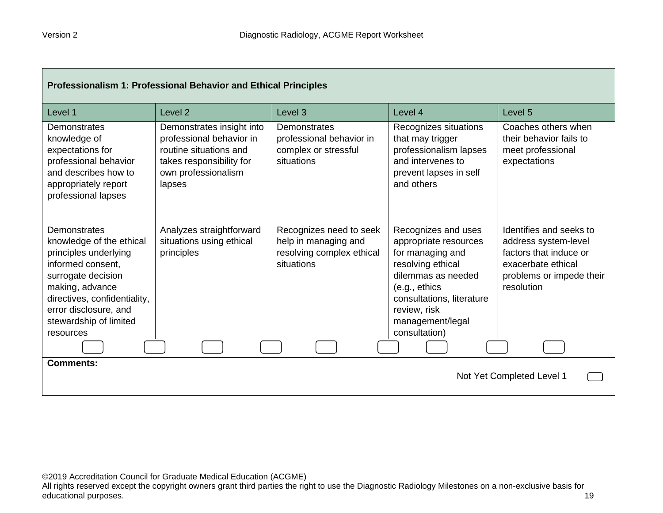| Professionalism 1: Professional Behavior and Ethical Principles                                                                                                                                                                 |                                                                                                                                              |                                                                                            |                                                                                                                                                                                                                |                                                                                                                                           |
|---------------------------------------------------------------------------------------------------------------------------------------------------------------------------------------------------------------------------------|----------------------------------------------------------------------------------------------------------------------------------------------|--------------------------------------------------------------------------------------------|----------------------------------------------------------------------------------------------------------------------------------------------------------------------------------------------------------------|-------------------------------------------------------------------------------------------------------------------------------------------|
| Level 1                                                                                                                                                                                                                         | Level <sub>2</sub>                                                                                                                           | Level <sub>3</sub>                                                                         | Level 4                                                                                                                                                                                                        | Level <sub>5</sub>                                                                                                                        |
| <b>Demonstrates</b><br>knowledge of<br>expectations for<br>professional behavior<br>and describes how to<br>appropriately report<br>professional lapses                                                                         | Demonstrates insight into<br>professional behavior in<br>routine situations and<br>takes responsibility for<br>own professionalism<br>lapses | Demonstrates<br>professional behavior in<br>complex or stressful<br>situations             | Recognizes situations<br>that may trigger<br>professionalism lapses<br>and intervenes to<br>prevent lapses in self<br>and others                                                                               | Coaches others when<br>their behavior fails to<br>meet professional<br>expectations                                                       |
| Demonstrates<br>knowledge of the ethical<br>principles underlying<br>informed consent,<br>surrogate decision<br>making, advance<br>directives, confidentiality,<br>error disclosure, and<br>stewardship of limited<br>resources | Analyzes straightforward<br>situations using ethical<br>principles                                                                           | Recognizes need to seek<br>help in managing and<br>resolving complex ethical<br>situations | Recognizes and uses<br>appropriate resources<br>for managing and<br>resolving ethical<br>dilemmas as needed<br>(e.g., ethics<br>consultations, literature<br>review, risk<br>management/legal<br>consultation) | Identifies and seeks to<br>address system-level<br>factors that induce or<br>exacerbate ethical<br>problems or impede their<br>resolution |
|                                                                                                                                                                                                                                 |                                                                                                                                              |                                                                                            |                                                                                                                                                                                                                |                                                                                                                                           |
| <b>Comments:</b><br>Not Yet Completed Level 1                                                                                                                                                                                   |                                                                                                                                              |                                                                                            |                                                                                                                                                                                                                |                                                                                                                                           |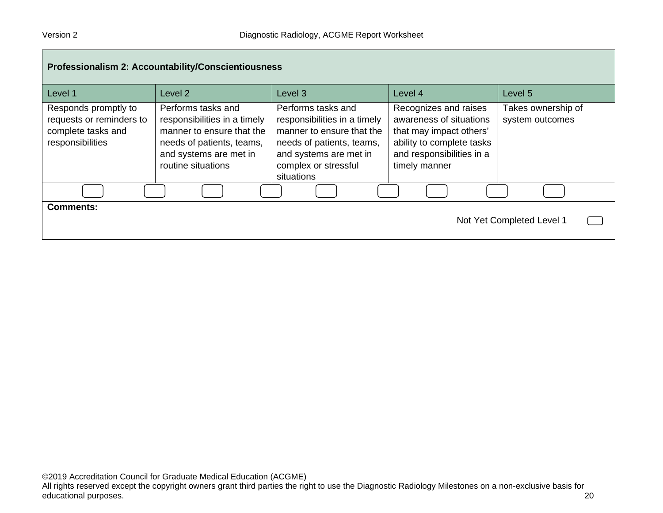| Professionalism 2: Accountability/Conscientiousness                                        |                                                                                                                                                              |                                                                                                                                                                              |                                                                                                                                                        |                                       |  |
|--------------------------------------------------------------------------------------------|--------------------------------------------------------------------------------------------------------------------------------------------------------------|------------------------------------------------------------------------------------------------------------------------------------------------------------------------------|--------------------------------------------------------------------------------------------------------------------------------------------------------|---------------------------------------|--|
| Level 1                                                                                    | Level 2                                                                                                                                                      | Level <sub>3</sub>                                                                                                                                                           | Level 4                                                                                                                                                | Level 5                               |  |
| Responds promptly to<br>requests or reminders to<br>complete tasks and<br>responsibilities | Performs tasks and<br>responsibilities in a timely<br>manner to ensure that the<br>needs of patients, teams,<br>and systems are met in<br>routine situations | Performs tasks and<br>responsibilities in a timely<br>manner to ensure that the<br>needs of patients, teams,<br>and systems are met in<br>complex or stressful<br>situations | Recognizes and raises<br>awareness of situations<br>that may impact others'<br>ability to complete tasks<br>and responsibilities in a<br>timely manner | Takes ownership of<br>system outcomes |  |
|                                                                                            |                                                                                                                                                              |                                                                                                                                                                              |                                                                                                                                                        |                                       |  |
| <b>Comments:</b><br>Not Yet Completed Level 1                                              |                                                                                                                                                              |                                                                                                                                                                              |                                                                                                                                                        |                                       |  |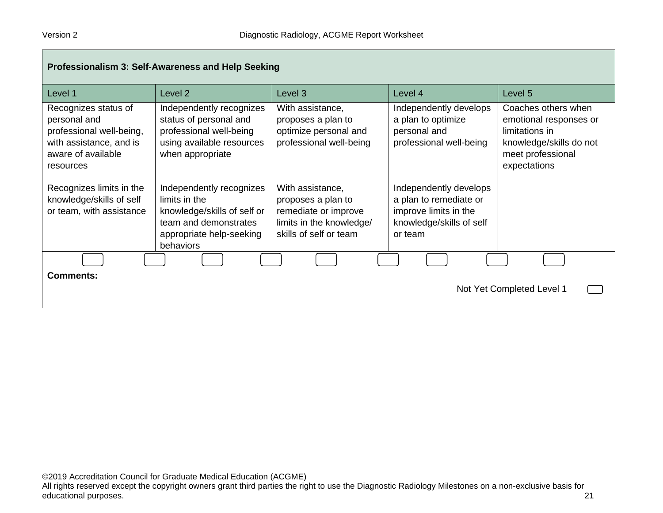| Professionalism 3: Self-Awareness and Help Seeking                                                                             |                                                                                                                                            |                                                                                                                      |                                                                                                                  |                                                                                                                                 |
|--------------------------------------------------------------------------------------------------------------------------------|--------------------------------------------------------------------------------------------------------------------------------------------|----------------------------------------------------------------------------------------------------------------------|------------------------------------------------------------------------------------------------------------------|---------------------------------------------------------------------------------------------------------------------------------|
| Level 1                                                                                                                        | Level <sub>2</sub>                                                                                                                         | Level 3                                                                                                              | Level 4                                                                                                          | Level 5                                                                                                                         |
| Recognizes status of<br>personal and<br>professional well-being,<br>with assistance, and is<br>aware of available<br>resources | Independently recognizes<br>status of personal and<br>professional well-being<br>using available resources<br>when appropriate             | With assistance,<br>proposes a plan to<br>optimize personal and<br>professional well-being                           | Independently develops<br>a plan to optimize<br>personal and<br>professional well-being                          | Coaches others when<br>emotional responses or<br>limitations in<br>knowledge/skills do not<br>meet professional<br>expectations |
| Recognizes limits in the<br>knowledge/skills of self<br>or team, with assistance                                               | Independently recognizes<br>limits in the<br>knowledge/skills of self or<br>team and demonstrates<br>appropriate help-seeking<br>behaviors | With assistance,<br>proposes a plan to<br>remediate or improve<br>limits in the knowledge/<br>skills of self or team | Independently develops<br>a plan to remediate or<br>improve limits in the<br>knowledge/skills of self<br>or team |                                                                                                                                 |
|                                                                                                                                |                                                                                                                                            |                                                                                                                      |                                                                                                                  |                                                                                                                                 |
| <b>Comments:</b><br>Not Yet Completed Level 1                                                                                  |                                                                                                                                            |                                                                                                                      |                                                                                                                  |                                                                                                                                 |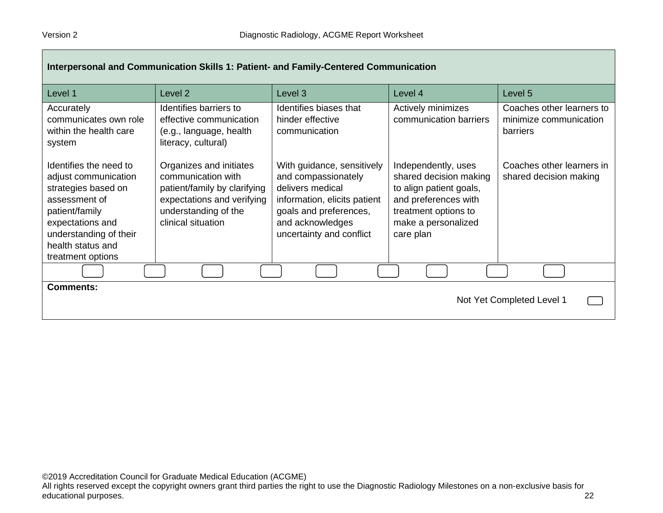| Interpersonal and Communication Skills 1: Patient- and Family-Centered Communication                                                                                                             |                                                                                                                                                           |                                                                                                                                                                                 |                                                                                                                                                              |                                                                        |
|--------------------------------------------------------------------------------------------------------------------------------------------------------------------------------------------------|-----------------------------------------------------------------------------------------------------------------------------------------------------------|---------------------------------------------------------------------------------------------------------------------------------------------------------------------------------|--------------------------------------------------------------------------------------------------------------------------------------------------------------|------------------------------------------------------------------------|
| Level 1                                                                                                                                                                                          | Level 2                                                                                                                                                   | Level <sub>3</sub>                                                                                                                                                              | Level 4                                                                                                                                                      | Level 5                                                                |
| Accurately<br>communicates own role<br>within the health care<br>system                                                                                                                          | Identifies barriers to<br>effective communication<br>(e.g., language, health<br>literacy, cultural)                                                       | Identifies biases that<br>hinder effective<br>communication                                                                                                                     | Actively minimizes<br>communication barriers                                                                                                                 | Coaches other learners to<br>minimize communication<br><b>barriers</b> |
| Identifies the need to<br>adjust communication<br>strategies based on<br>assessment of<br>patient/family<br>expectations and<br>understanding of their<br>health status and<br>treatment options | Organizes and initiates<br>communication with<br>patient/family by clarifying<br>expectations and verifying<br>understanding of the<br>clinical situation | With guidance, sensitively<br>and compassionately<br>delivers medical<br>information, elicits patient<br>goals and preferences,<br>and acknowledges<br>uncertainty and conflict | Independently, uses<br>shared decision making<br>to align patient goals,<br>and preferences with<br>treatment options to<br>make a personalized<br>care plan | Coaches other learners in<br>shared decision making                    |
|                                                                                                                                                                                                  |                                                                                                                                                           |                                                                                                                                                                                 |                                                                                                                                                              |                                                                        |
| <b>Comments:</b><br>Not Yet Completed Level 1                                                                                                                                                    |                                                                                                                                                           |                                                                                                                                                                                 |                                                                                                                                                              |                                                                        |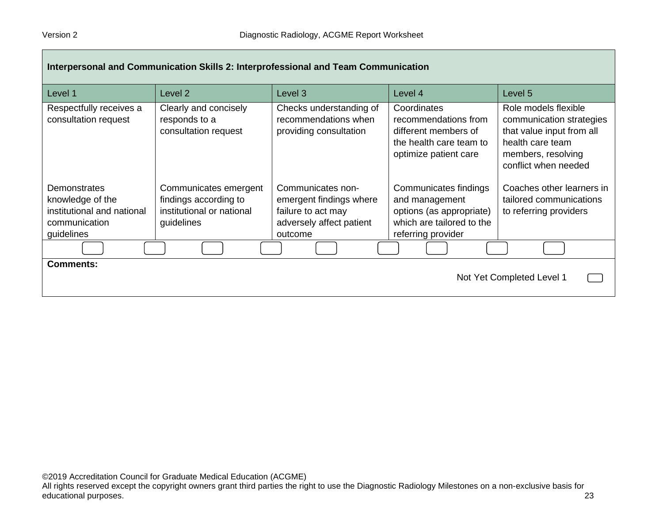| Interpersonal and Communication Skills 2: Interprofessional and Team Communication                   |                                                                                           |                                                                                                           |                                                                                                                        |                                                                                                                                                 |
|------------------------------------------------------------------------------------------------------|-------------------------------------------------------------------------------------------|-----------------------------------------------------------------------------------------------------------|------------------------------------------------------------------------------------------------------------------------|-------------------------------------------------------------------------------------------------------------------------------------------------|
| Level 1                                                                                              | Level <sub>2</sub>                                                                        | Level 3                                                                                                   | Level 4                                                                                                                | Level 5                                                                                                                                         |
| Respectfully receives a<br>consultation request                                                      | Clearly and concisely<br>responds to a<br>consultation request                            | Checks understanding of<br>recommendations when<br>providing consultation                                 | Coordinates<br>recommendations from<br>different members of<br>the health care team to<br>optimize patient care        | Role models flexible<br>communication strategies<br>that value input from all<br>health care team<br>members, resolving<br>conflict when needed |
| <b>Demonstrates</b><br>knowledge of the<br>institutional and national<br>communication<br>guidelines | Communicates emergent<br>findings according to<br>institutional or national<br>guidelines | Communicates non-<br>emergent findings where<br>failure to act may<br>adversely affect patient<br>outcome | Communicates findings<br>and management<br>options (as appropriate)<br>which are tailored to the<br>referring provider | Coaches other learners in<br>tailored communications<br>to referring providers                                                                  |
|                                                                                                      |                                                                                           |                                                                                                           |                                                                                                                        |                                                                                                                                                 |
| <b>Comments:</b><br>Not Yet Completed Level 1                                                        |                                                                                           |                                                                                                           |                                                                                                                        |                                                                                                                                                 |